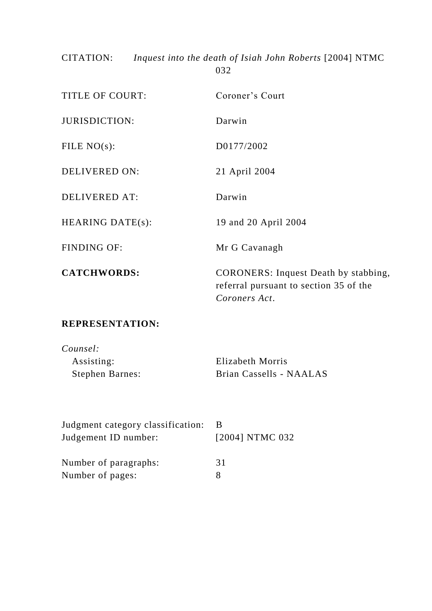CITATION: *Inquest into the death of Isiah John Roberts* [2004] NTMC 032

| <b>TITLE OF COURT:</b>  | Coroner's Court                                                                                        |
|-------------------------|--------------------------------------------------------------------------------------------------------|
| <b>JURISDICTION:</b>    | Darwin                                                                                                 |
| FILE $NO(s)$ :          | D0177/2002                                                                                             |
| DELIVERED ON:           | 21 April 2004                                                                                          |
| <b>DELIVERED AT:</b>    | Darwin                                                                                                 |
| <b>HEARING DATE(s):</b> | 19 and 20 April 2004                                                                                   |
| <b>FINDING OF:</b>      | Mr G Cavanagh                                                                                          |
| <b>CATCHWORDS:</b>      | <b>CORONERS:</b> Inquest Death by stabbing,<br>referral pursuant to section 35 of the<br>Coroners Act. |

# **REPRESENTATION:**

| Counsel:               |                         |
|------------------------|-------------------------|
| Assisting:             | Elizabeth Morris        |
| <b>Stephen Barnes:</b> | Brian Cassells - NAALAS |

| Judgment category classification: |                 |
|-----------------------------------|-----------------|
| Judgement ID number:              | [2004] NTMC 032 |
|                                   |                 |
| Number of paragraphs:             | 31              |
| Number of pages:                  |                 |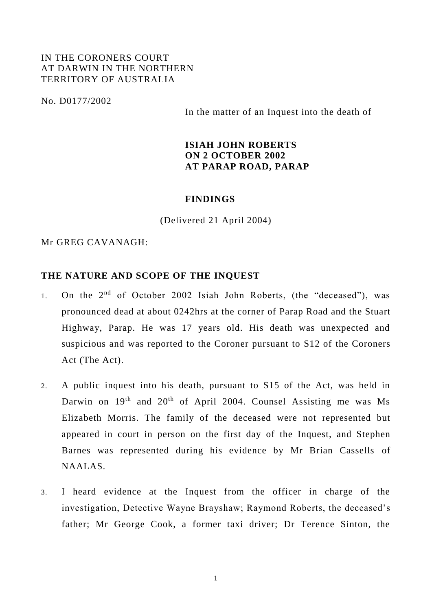# IN THE CORONERS COURT AT DARWIN IN THE NORTHERN TERRITORY OF AUSTRALIA

No. D0177/2002

In the matter of an Inquest into the death of

### **ISIAH JOHN ROBERTS ON 2 OCTOBER 2002 AT PARAP ROAD, PARAP**

#### **FINDINGS**

(Delivered 21 April 2004)

# Mr GREG CAVANAGH:

#### **THE NATURE AND SCOPE OF THE INQUEST**

- 1. On the 2<sup>nd</sup> of October 2002 Isiah John Roberts, (the "deceased"), was pronounced dead at about 0242hrs at the corner of Parap Road and the Stuart Highway, Parap. He was 17 years old. His death was unexpected and suspicious and was reported to the Coroner pursuant to S12 of the Coroners Act (The Act).
- 2. A public inquest into his death, pursuant to S15 of the Act, was held in Darwin on  $19<sup>th</sup>$  and  $20<sup>th</sup>$  of April 2004. Counsel Assisting me was Ms Elizabeth Morris. The family of the deceased were not represented but appeared in court in person on the first day of the Inquest, and Stephen Barnes was represented during his evidence by Mr Brian Cassells of NAALAS.
- 3. I heard evidence at the Inquest from the officer in charge of the investigation, Detective Wayne Brayshaw; Raymond Roberts, the deceased's father; Mr George Cook, a former taxi driver; Dr Terence Sinton, the

1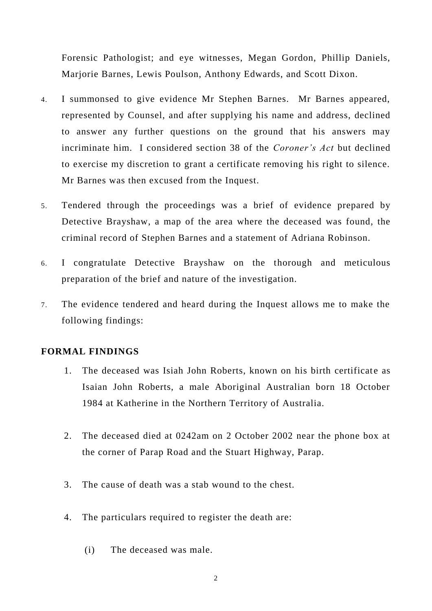Forensic Pathologist; and eye witnesses, Megan Gordon, Phillip Daniels, Marjorie Barnes, Lewis Poulson, Anthony Edwards, and Scott Dixon.

- 4. I summonsed to give evidence Mr Stephen Barnes. Mr Barnes appeared, represented by Counsel, and after supplying his name and address, declined to answer any further questions on the ground that his answers may incriminate him. I considered section 38 of the *Coroner's Act* but declined to exercise my discretion to grant a certificate removing his right to silence. Mr Barnes was then excused from the Inquest.
- 5. Tendered through the proceedings was a brief of evidence prepared by Detective Brayshaw, a map of the area where the deceased was found, the criminal record of Stephen Barnes and a statement of Adriana Robinson.
- 6. I congratulate Detective Brayshaw on the thorough and meticulous preparation of the brief and nature of the investigation.
- 7. The evidence tendered and heard during the Inquest allows me to make the following findings:

#### **FORMAL FINDINGS**

- 1. The deceased was Isiah John Roberts, known on his birth certificate as Isaian John Roberts, a male Aboriginal Australian born 18 October 1984 at Katherine in the Northern Territory of Australia.
- 2. The deceased died at 0242am on 2 October 2002 near the phone box at the corner of Parap Road and the Stuart Highway, Parap.
- 3. The cause of death was a stab wound to the chest.
- 4. The particulars required to register the death are:
	- (i) The deceased was male.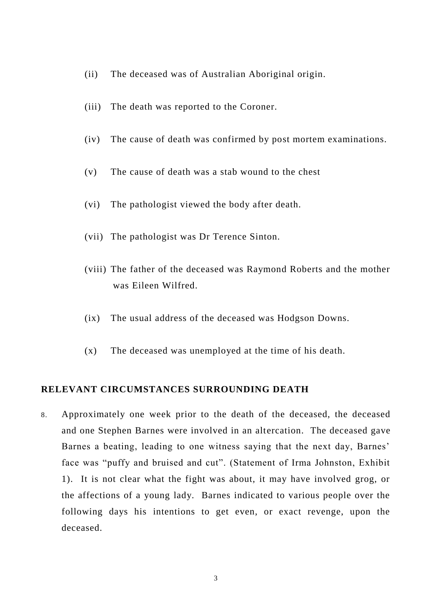- (ii) The deceased was of Australian Aboriginal origin.
- (iii) The death was reported to the Coroner.
- (iv) The cause of death was confirmed by post mortem examinations.
- (v) The cause of death was a stab wound to the chest
- (vi) The pathologist viewed the body after death.
- (vii) The pathologist was Dr Terence Sinton.
- (viii) The father of the deceased was Raymond Roberts and the mother was Eileen Wilfred.
- (ix) The usual address of the deceased was Hodgson Downs.
- (x) The deceased was unemployed at the time of his death.

#### **RELEVANT CIRCUMSTANCES SURROUNDING DEATH**

8. Approximately one week prior to the death of the deceased, the deceased and one Stephen Barnes were involved in an altercation. The deceased gave Barnes a beating, leading to one witness saying that the next day, Barnes' face was "puffy and bruised and cut". (Statement of Irma Johnston, Exhibit 1). It is not clear what the fight was about, it may have involved grog, or the affections of a young lady. Barnes indicated to various people over the following days his intentions to get even, or exact revenge, upon the deceased.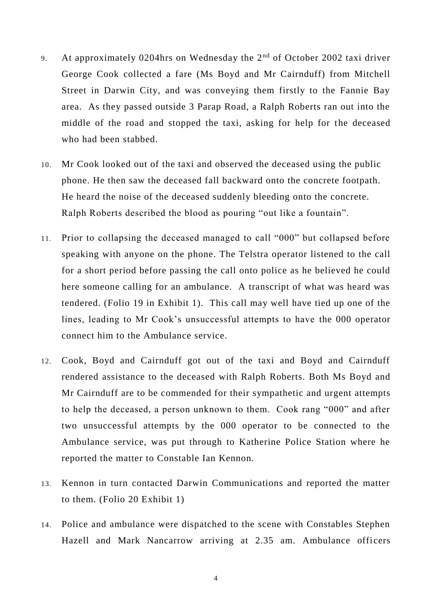- 9. At approximately 0204hrs on Wednesday the  $2<sup>nd</sup>$  of October 2002 taxi driver George Cook collected a fare (Ms Boyd and Mr Cairnduff) from Mitchell Street in Darwin City, and was conveying them firstly to the Fannie Bay area. As they passed outside 3 Parap Road, a Ralph Roberts ran out into the middle of the road and stopped the taxi, asking for help for the deceased who had been stabbed.
- 10. Mr Cook looked out of the taxi and observed the deceased using the public phone. He then saw the deceased fall backward onto the concrete footpath. He heard the noise of the deceased suddenly bleeding onto the concrete. Ralph Roberts described the blood as pouring "out like a fountain".
- 11. Prior to collapsing the deceased managed to call "000" but collapsed before speaking with anyone on the phone. The Telstra operator listened to the call for a short period before passing the call onto police as he believed he could here someone calling for an ambulance. A transcript of what was heard was tendered. (Folio 19 in Exhibit 1). This call may well have tied up one of the lines, leading to Mr Cook's unsuccessful attempts to have the 000 operator connect him to the Ambulance service.
- 12. Cook, Boyd and Cairnduff got out of the taxi and Boyd and Cairnduff rendered assistance to the deceased with Ralph Roberts. Both Ms Boyd and Mr Cairnduff are to be commended for their sympathetic and urgent attempts to help the deceased, a person unknown to them. Cook rang "000" and after two unsuccessful attempts by the 000 operator to be connected to the Ambulance service, was put through to Katherine Police Station where he reported the matter to Constable Ian Kennon.
- 13. Kennon in turn contacted Darwin Communications and reported the matter to them. (Folio 20 Exhibit 1)
- 14. Police and ambulance were dispatched to the scene with Constables Stephen Hazell and Mark Nancarrow arriving at 2.35 am. Ambulance officers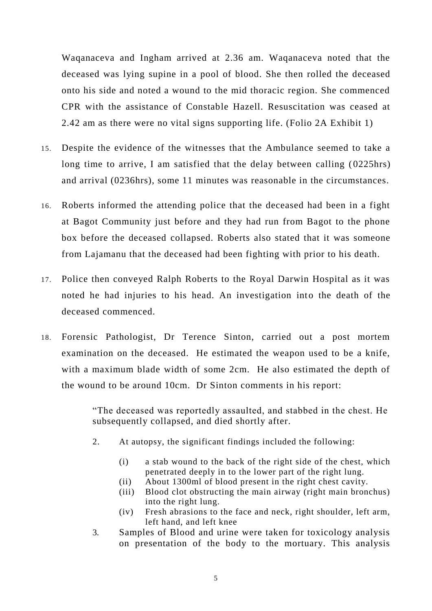Waqanaceva and Ingham arrived at 2.36 am. Waqanaceva noted that the deceased was lying supine in a pool of blood. She then rolled the deceased onto his side and noted a wound to the mid thoracic region. She commenced CPR with the assistance of Constable Hazell. Resuscitation was ceased at 2.42 am as there were no vital signs supporting life. (Folio 2A Exhibit 1)

- 15. Despite the evidence of the witnesses that the Ambulance seemed to take a long time to arrive, I am satisfied that the delay between calling (0225hrs) and arrival (0236hrs), some 11 minutes was reasonable in the circumstances.
- 16. Roberts informed the attending police that the deceased had been in a fight at Bagot Community just before and they had run from Bagot to the phone box before the deceased collapsed. Roberts also stated that it was someone from Lajamanu that the deceased had been fighting with prior to his death.
- 17. Police then conveyed Ralph Roberts to the Royal Darwin Hospital as it was noted he had injuries to his head. An investigation into the death of the deceased commenced.
- 18. Forensic Pathologist, Dr Terence Sinton, carried out a post mortem examination on the deceased. He estimated the weapon used to be a knife, with a maximum blade width of some 2cm. He also estimated the depth of the wound to be around 10cm. Dr Sinton comments in his report:

"The deceased was reportedly assaulted, and stabbed in the chest. He subsequently collapsed, and died shortly after.

- 2. At autopsy, the significant findings included the following:
	- (i) a stab wound to the back of the right side of the chest, which penetrated deeply in to the lower part of the right lung.
	- (ii) About 1300ml of blood present in the right chest cavity.
	- (iii) Blood clot obstructing the main airway (right main bronchus) into the right lung.
	- (iv) Fresh abrasions to the face and neck, right shoulder, left arm, left hand, and left knee
- 3. Samples of Blood and urine were taken for toxicology analysis on presentation of the body to the mortuary. This analysis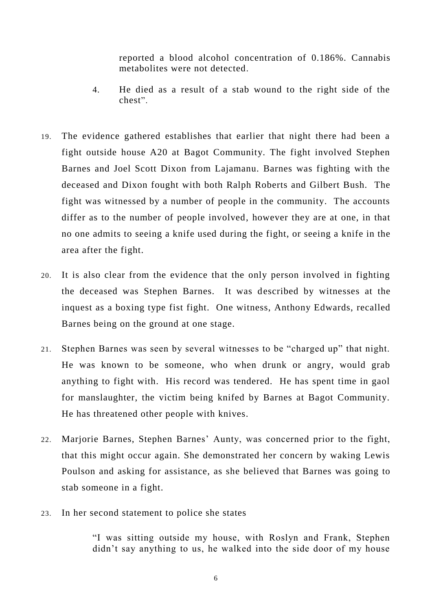reported a blood alcohol concentration of 0.186%. Cannabis metabolites were not detected.

- 4. He died as a result of a stab wound to the right side of the chest".
- 19. The evidence gathered establishes that earlier that night there had been a fight outside house A20 at Bagot Community. The fight involved Stephen Barnes and Joel Scott Dixon from Lajamanu. Barnes was fighting with the deceased and Dixon fought with both Ralph Roberts and Gilbert Bush. The fight was witnessed by a number of people in the community. The accounts differ as to the number of people involved, however they are at one, in that no one admits to seeing a knife used during the fight, or seeing a knife in the area after the fight.
- 20. It is also clear from the evidence that the only person involved in fighting the deceased was Stephen Barnes. It was described by witnesses at the inquest as a boxing type fist fight. One witness, Anthony Edwards, recalled Barnes being on the ground at one stage.
- 21. Stephen Barnes was seen by several witnesses to be "charged up" that night. He was known to be someone, who when drunk or angry, would grab anything to fight with. His record was tendered. He has spent time in gaol for manslaughter, the victim being knifed by Barnes at Bagot Community. He has threatened other people with knives.
- 22. Marjorie Barnes, Stephen Barnes' Aunty, was concerned prior to the fight, that this might occur again. She demonstrated her concern by waking Lewis Poulson and asking for assistance, as she believed that Barnes was going to stab someone in a fight.
- 23. In her second statement to police she states

"I was sitting outside my house, with Roslyn and Frank, Stephen didn't say anything to us, he walked into the side door of my house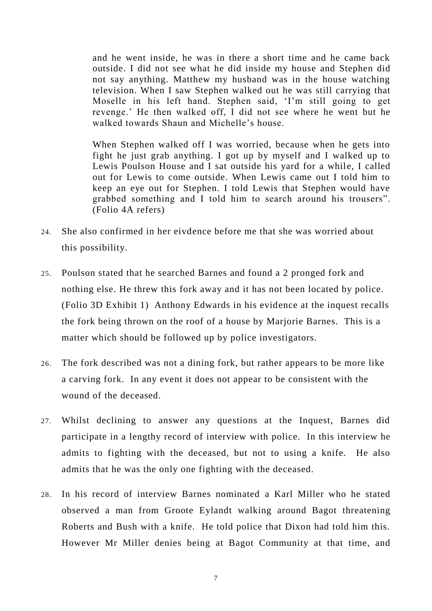and he went inside, he was in there a short time and he came back outside. I did not see what he did inside my house and Stephen did not say anything. Matthew my husband was in the house watching television. When I saw Stephen walked out he was still carrying that Moselle in his left hand. Stephen said, 'I'm still going to get revenge.' He then walked off, I did not see where he went but he walked towards Shaun and Michelle's house.

When Stephen walked off I was worried, because when he gets into fight he just grab anything. I got up by myself and I walked up to Lewis Poulson House and I sat outside his yard for a while, I called out for Lewis to come outside. When Lewis came out I told him to keep an eye out for Stephen. I told Lewis that Stephen would have grabbed something and I told him to search around his trousers". (Folio 4A refers)

- 24. She also confirmed in her eivdence before me that she was worried about this possibility.
- 25. Poulson stated that he searched Barnes and found a 2 pronged fork and nothing else. He threw this fork away and it has not been located by police. (Folio 3D Exhibit 1) Anthony Edwards in his evidence at the inquest recalls the fork being thrown on the roof of a house by Marjorie Barnes. This is a matter which should be followed up by police investigators.
- 26. The fork described was not a dining fork, but rather appears to be more like a carving fork. In any event it does not appear to be consistent with the wound of the deceased.
- 27. Whilst declining to answer any questions at the Inquest, Barnes did participate in a lengthy record of interview with police. In this interview he admits to fighting with the deceased, but not to using a knife. He also admits that he was the only one fighting with the deceased.
- 28. In his record of interview Barnes nominated a Karl Miller who he stated observed a man from Groote Eylandt walking around Bagot threatening Roberts and Bush with a knife. He told police that Dixon had told him this. However Mr Miller denies being at Bagot Community at that time, and